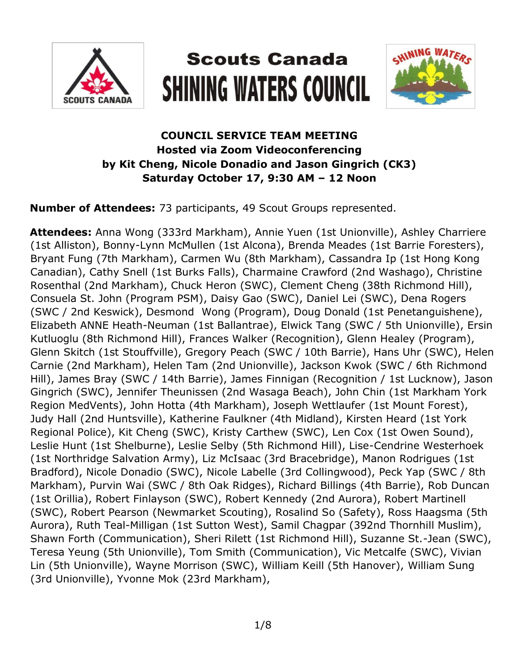

# **Scouts Canada SHINING WATERS COUNCIL**



### **COUNCIL SERVICE TEAM MEETING Hosted via Zoom Videoconferencing by Kit Cheng, Nicole Donadio and Jason Gingrich (CK3) Saturday October 17, 9:30 AM – 12 Noon**

**Number of Attendees:** 73 participants, 49 Scout Groups represented.

**Attendees:** Anna Wong (333rd Markham), Annie Yuen (1st Unionville), Ashley Charriere (1st Alliston), Bonny-Lynn McMullen (1st Alcona), Brenda Meades (1st Barrie Foresters), Bryant Fung (7th Markham), Carmen Wu (8th Markham), Cassandra Ip (1st Hong Kong Canadian), Cathy Snell (1st Burks Falls), Charmaine Crawford (2nd Washago), Christine Rosenthal (2nd Markham), Chuck Heron (SWC), Clement Cheng (38th Richmond Hill), Consuela St. John (Program PSM), Daisy Gao (SWC), Daniel Lei (SWC), Dena Rogers (SWC / 2nd Keswick), Desmond Wong (Program), Doug Donald (1st Penetanguishene), Elizabeth ANNE Heath-Neuman (1st Ballantrae), Elwick Tang (SWC / 5th Unionville), Ersin Kutluoglu (8th Richmond Hill), Frances Walker (Recognition), Glenn Healey (Program), Glenn Skitch (1st Stouffville), Gregory Peach (SWC / 10th Barrie), Hans Uhr (SWC), Helen Carnie (2nd Markham), Helen Tam (2nd Unionville), Jackson Kwok (SWC / 6th Richmond Hill), James Bray (SWC / 14th Barrie), James Finnigan (Recognition / 1st Lucknow), Jason Gingrich (SWC), Jennifer Theunissen (2nd Wasaga Beach), John Chin (1st Markham York Region MedVents), John Hotta (4th Markham), Joseph Wettlaufer (1st Mount Forest), Judy Hall (2nd Huntsville), Katherine Faulkner (4th Midland), Kirsten Heard (1st York Regional Police), Kit Cheng (SWC), Kristy Carthew (SWC), Len Cox (1st Owen Sound), Leslie Hunt (1st Shelburne), Leslie Selby (5th Richmond Hill), Lise-Cendrine Westerhoek (1st Northridge Salvation Army), Liz McIsaac (3rd Bracebridge), Manon Rodrigues (1st Bradford), Nicole Donadio (SWC), Nicole Labelle (3rd Collingwood), Peck Yap (SWC / 8th Markham), Purvin Wai (SWC / 8th Oak Ridges), Richard Billings (4th Barrie), Rob Duncan (1st Orillia), Robert Finlayson (SWC), Robert Kennedy (2nd Aurora), Robert Martinell (SWC), Robert Pearson (Newmarket Scouting), Rosalind So (Safety), Ross Haagsma (5th Aurora), Ruth Teal-Milligan (1st Sutton West), Samil Chagpar (392nd Thornhill Muslim), Shawn Forth (Communication), Sheri Rilett (1st Richmond Hill), Suzanne St.-Jean (SWC), Teresa Yeung (5th Unionville), Tom Smith (Communication), Vic Metcalfe (SWC), Vivian Lin (5th Unionville), Wayne Morrison (SWC), William Keill (5th Hanover), William Sung (3rd Unionville), Yvonne Mok (23rd Markham),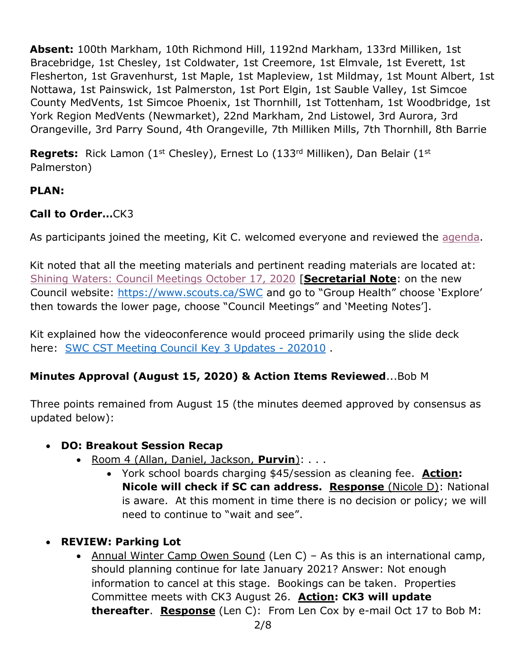**Absent:** 100th Markham, 10th Richmond Hill, 1192nd Markham, 133rd Milliken, 1st Bracebridge, 1st Chesley, 1st Coldwater, 1st Creemore, 1st Elmvale, 1st Everett, 1st Flesherton, 1st Gravenhurst, 1st Maple, 1st Mapleview, 1st Mildmay, 1st Mount Albert, 1st Nottawa, 1st Painswick, 1st Palmerston, 1st Port Elgin, 1st Sauble Valley, 1st Simcoe County MedVents, 1st Simcoe Phoenix, 1st Thornhill, 1st Tottenham, 1st Woodbridge, 1st York Region MedVents (Newmarket), 22nd Markham, 2nd Listowel, 3rd Aurora, 3rd Orangeville, 3rd Parry Sound, 4th Orangeville, 7th Milliken Mills, 7th Thornhill, 8th Barrie

**Regrets:** Rick Lamon (1<sup>st</sup> Chesley), Ernest Lo (133<sup>rd</sup> Milliken), Dan Belair (1<sup>st</sup> Palmerston)

### **PLAN:**

## **Call to Order…**CK3

As participants joined the meeting, Kit C. welcomed everyone and reviewed the [agenda.](https://www.scouts.ca/assets/uploads/councils/shiningwaters/council_meetings/2020-10-17/SWC%20Council%20Service%20Team%20Meeting%20Agenda%20-%20202010.pdf)

Kit noted that all the meeting materials and pertinent reading materials are located at: [Shining Waters: Council Meetings October 17, 2020](https://www.scouts.ca/councils/central/shining-waters/council-meetings.html) [**Secretarial Note**: on the new Council website: <https://www.scouts.ca/SWC> and go to "Group Health" choose 'Explore' then towards the lower page, choose "Council Meetings" and 'Meeting Notes'].

Kit explained how the videoconference would proceed primarily using the slide deck here: [SWC CST Meeting Council Key 3 Updates -](https://www.scouts.ca/assets/uploads/councils/shiningwaters/council_meetings/2020-10-17/SWC%20CST%20Meeting%20-%20October%2017,%202020.pdf) 202010.

#### **Minutes Approval (August 15, 2020) & Action Items Reviewed**...Bob M

Three points remained from August 15 (the minutes deemed approved by consensus as updated below):

#### **DO: Breakout Session Recap**

- Room 4 (Allan, Daniel, Jackson, **Purvin**): . . .
	- York school boards charging \$45/session as cleaning fee. **Action: Nicole will check if SC can address. Response** (Nicole D): National is aware. At this moment in time there is no decision or policy; we will need to continue to "wait and see".
- **REVIEW: Parking Lot**
	- Annual Winter Camp Owen Sound (Len C) As this is an international camp, should planning continue for late January 2021? Answer: Not enough information to cancel at this stage. Bookings can be taken. Properties Committee meets with CK3 August 26. **Action: CK3 will update thereafter**. **Response** (Len C):From Len Cox by e-mail Oct 17 to Bob M: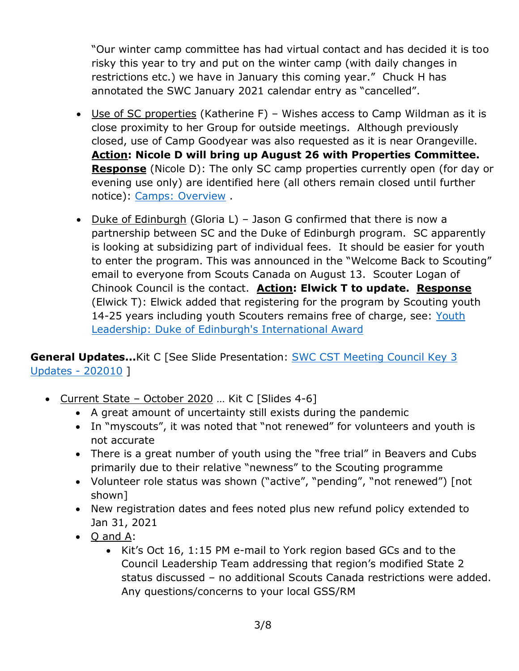"Our winter camp committee has had virtual contact and has decided it is too risky this year to try and put on the winter camp (with daily changes in restrictions etc.) we have in January this coming year." Chuck H has annotated the SWC January 2021 calendar entry as "cancelled".

- Use of SC properties (Katherine F) Wishes access to Camp Wildman as it is close proximity to her Group for outside meetings. Although previously closed, use of Camp Goodyear was also requested as it is near Orangeville. **Action: Nicole D will bring up August 26 with Properties Committee. Response** (Nicole D): The only SC camp properties currently open (for day or evening use only) are identified here (all others remain closed until further notice): [Camps: Overview](https://www.scouts.ca/about/camps/overview.html) .
- Duke of Edinburgh (Gloria L) Jason G confirmed that there is now a partnership between SC and the Duke of Edinburgh program. SC apparently is looking at subsidizing part of individual fees. It should be easier for youth to enter the program. This was announced in the "Welcome Back to Scouting" email to everyone from Scouts Canada on August 13. Scouter Logan of Chinook Council is the contact. **Action: Elwick T to update. Response** (Elwick T): Elwick added that registering for the program by Scouting youth 14-25 years including youth Scouters remains free of charge, see: Youth [Leadership: Duke of Edinburgh's International Award](https://www.scouts.ca/programs/youth-leadership/duke-of-edinburghs-international-award.html)

**General Updates...**Kit C [See Slide Presentation: **SWC CST Meeting Council Key 3** [Updates -](https://www.scouts.ca/assets/uploads/councils/shiningwaters/council_meetings/2020-10-17/SWC%20CST%20Meeting%20-%20October%2017,%202020.pdf) 202010 ]

- Current State October 2020 ... Kit C [Slides 4-6]
	- A great amount of uncertainty still exists during the pandemic
	- In "myscouts", it was noted that "not renewed" for volunteers and youth is not accurate
	- There is a great number of youth using the "free trial" in Beavers and Cubs primarily due to their relative "newness" to the Scouting programme
	- Volunteer role status was shown ("active", "pending", "not renewed") [not shown]
	- New registration dates and fees noted plus new refund policy extended to Jan 31, 2021
	- Q and A:
		- Kit's Oct 16, 1:15 PM e-mail to York region based GCs and to the Council Leadership Team addressing that region's modified State 2 status discussed – no additional Scouts Canada restrictions were added. Any questions/concerns to your local GSS/RM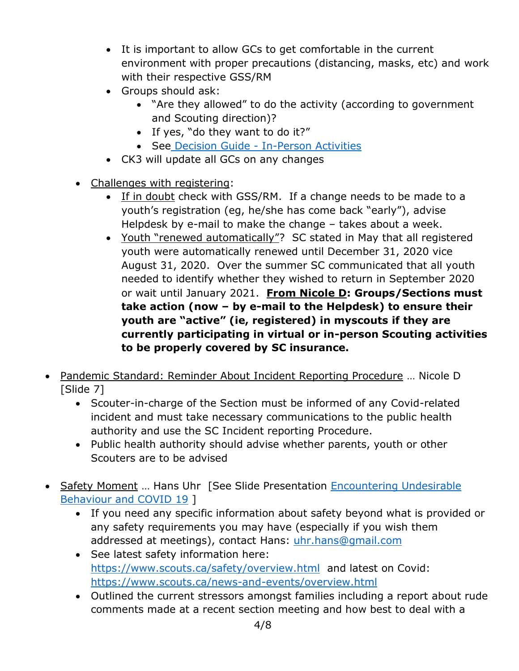- It is important to allow GCs to get comfortable in the current environment with proper precautions (distancing, masks, etc) and work with their respective GSS/RM
- Groups should ask:
	- "Are they allowed" to do the activity (according to government and Scouting direction)?
	- If yes, "do they want to do it?"
	- See Decision Guide [In-Person Activities](https://www.scouts.ca/assets/uploads/councils/shiningwaters/council_meetings/2020-10-17/Decision%20Guide%20-%20In-Person%20Activities.pdf)
- CK3 will update all GCs on any changes
- Challenges with registering:
	- If in doubt check with GSS/RM. If a change needs to be made to a youth's registration (eg, he/she has come back "early"), advise Helpdesk by e-mail to make the change – takes about a week.
	- Youth "renewed automatically"? SC stated in May that all registered youth were automatically renewed until December 31, 2020 vice August 31, 2020. Over the summer SC communicated that all youth needed to identify whether they wished to return in September 2020 or wait until January 2021. **From Nicole D: Groups/Sections must take action (now – by e-mail to the Helpdesk) to ensure their youth are "active" (ie, registered) in myscouts if they are currently participating in virtual or in-person Scouting activities to be properly covered by SC insurance.**
- Pandemic Standard: Reminder About Incident Reporting Procedure … Nicole D [Slide 7]
	- Scouter-in-charge of the Section must be informed of any Covid-related incident and must take necessary communications to the public health authority and use the SC Incident reporting Procedure.
	- Public health authority should advise whether parents, youth or other Scouters are to be advised
- Safety Moment ... Hans Uhr [See Slide Presentation Encountering Undesirable [Behaviour and COVID 19](https://www.scouts.ca/assets/uploads/councils/shiningwaters/council_meetings/2020-10-17/SWC%20Safety%20Moment%20-%20October%2017,%202020.pdf) ]
	- If you need any specific information about safety beyond what is provided or any safety requirements you may have (especially if you wish them addressed at meetings), contact Hans: [uhr.hans@gmail.com](mailto:uhr.hans@gmail.com)
	- See latest safety information here: <https://www.scouts.ca/safety/overview.html> and latest on Covid: <https://www.scouts.ca/news-and-events/overview.html>
	- Outlined the current stressors amongst families including a report about rude comments made at a recent section meeting and how best to deal with a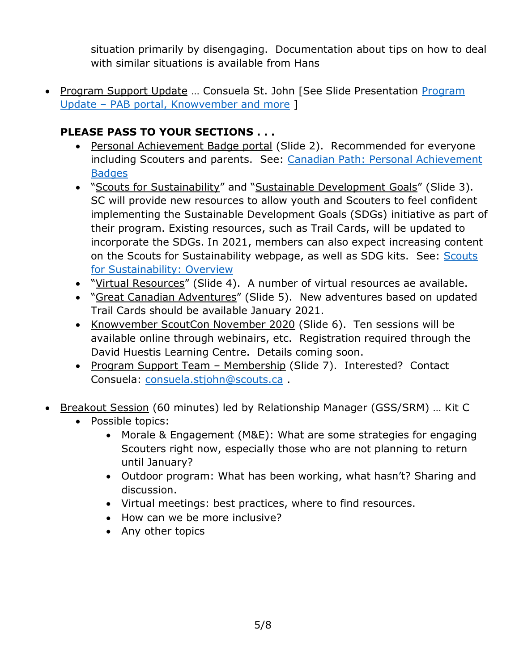situation primarily by disengaging. Documentation about tips on how to deal with similar situations is available from Hans

• [Program](https://www.scouts.ca/assets/uploads/councils/shiningwaters/council_meetings/2020-10-17/SWC%20CST%20Meeting%20-%20Program%20Updates%20Oct%2017,%202020.pdf) Support Update ... Consuela St. John [See Slide Presentation Program Update – [PAB portal, Knowvember and more](https://www.scouts.ca/assets/uploads/councils/shiningwaters/council_meetings/2020-10-17/SWC%20CST%20Meeting%20-%20Program%20Updates%20Oct%2017,%202020.pdf) ]

## **PLEASE PASS TO YOUR SECTIONS . . .**

- Personal Achievement Badge portal (Slide 2). Recommended for everyone including Scouters and parents. See: [Canadian Path: Personal Achievement](https://www.scouts.ca/programs/canadian-path/personal-achievement-badges/)  **[Badges](https://www.scouts.ca/programs/canadian-path/personal-achievement-badges/)**
- . "Scouts for Sustainability" and "Sustainable Development Goals" (Slide 3). SC will provide new resources to allow youth and Scouters to feel confident implementing the Sustainable Development Goals (SDGs) initiative as part of their program. Existing resources, such as Trail Cards, will be updated to incorporate the SDGs. In 2021, members can also expect increasing content on the [Scouts](https://www.scouts.ca/programs/scouts-for-sustainability/overview.html) for Sustainability webpage, as well as SDG kits. See: Scouts [for Sustainability: Overview](https://www.scouts.ca/programs/scouts-for-sustainability/overview.html)
- "Virtual Resources" (Slide 4). A number of virtual resources ae available.
- "Great Canadian Adventures" (Slide 5). New adventures based on updated Trail Cards should be available January 2021.
- Knowvember ScoutCon November 2020 (Slide 6). Ten sessions will be available online through webinairs, etc. Registration required through the David Huestis Learning Centre. Details coming soon.
- Program Support Team Membership (Slide 7). Interested? Contact Consuela: [consuela.stjohn@scouts.ca](mailto:consuela.stjohn@scouts.ca) .
- Breakout Session (60 minutes) led by Relationship Manager (GSS/SRM) ... Kit C
	- Possible topics:
		- Morale & Engagement (M&E): What are some strategies for engaging Scouters right now, especially those who are not planning to return until January?
		- Outdoor program: What has been working, what hasn't? Sharing and discussion.
		- Virtual meetings: best practices, where to find resources.
		- How can we be more inclusive?
		- Any other topics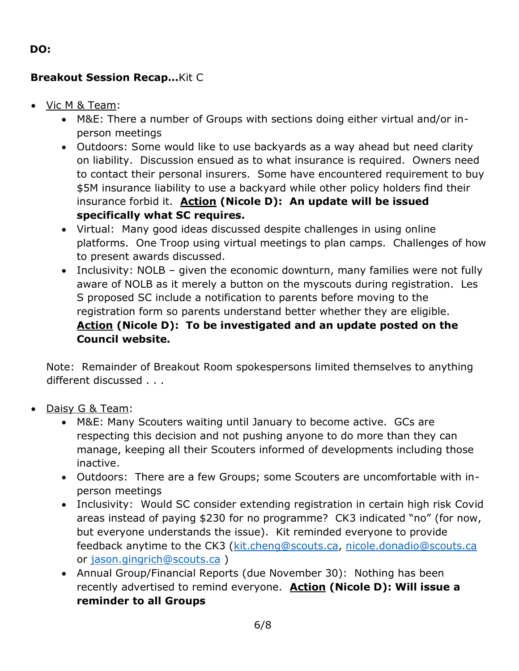#### **DO:**

#### **Breakout Session Recap…**Kit C

- Vic M & Team:
	- M&E: There a number of Groups with sections doing either virtual and/or inperson meetings
	- Outdoors: Some would like to use backyards as a way ahead but need clarity on liability. Discussion ensued as to what insurance is required. Owners need to contact their personal insurers. Some have encountered requirement to buy \$5M insurance liability to use a backyard while other policy holders find their insurance forbid it. **Action (Nicole D): An update will be issued specifically what SC requires.**
	- Virtual: Many good ideas discussed despite challenges in using online platforms. One Troop using virtual meetings to plan camps. Challenges of how to present awards discussed.
	- Inclusivity: NOLB given the economic downturn, many families were not fully aware of NOLB as it merely a button on the myscouts during registration. Les S proposed SC include a notification to parents before moving to the registration form so parents understand better whether they are eligible. **Action (Nicole D): To be investigated and an update posted on the Council website.**

Note: Remainder of Breakout Room spokespersons limited themselves to anything different discussed . . .

- Daisy G & Team:
	- M&E: Many Scouters waiting until January to become active. GCs are respecting this decision and not pushing anyone to do more than they can manage, keeping all their Scouters informed of developments including those inactive.
	- Outdoors: There are a few Groups; some Scouters are uncomfortable with inperson meetings
	- Inclusivity: Would SC consider extending registration in certain high risk Covid areas instead of paying \$230 for no programme? CK3 indicated "no" (for now, but everyone understands the issue). Kit reminded everyone to provide feedback anytime to the CK3 [\(kit.cheng@scouts.ca,](mailto:kit.cheng@scouts.ca) [nicole.donadio@scouts.ca](mailto:nicole.donadio@scouts.ca) or [jason.gingrich@scouts.ca](mailto:jason.gingrich@scouts.ca) )
	- Annual Group/Financial Reports (due November 30): Nothing has been recently advertised to remind everyone. **Action (Nicole D): Will issue a reminder to all Groups**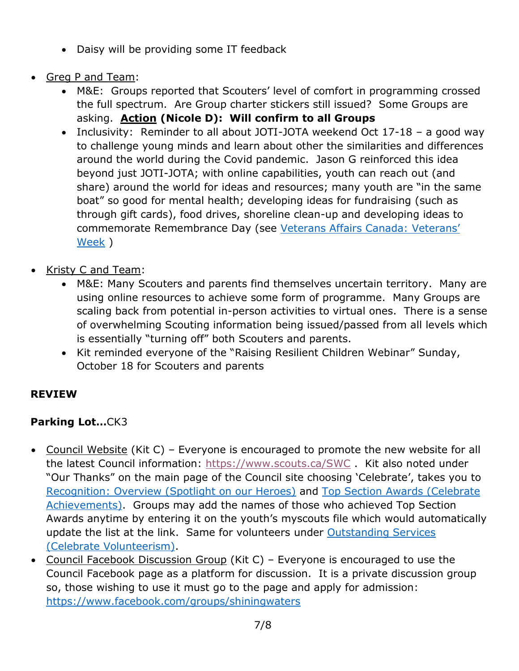- Daisy will be providing some IT feedback
- Greg P and Team:
	- M&E: Groups reported that Scouters' level of comfort in programming crossed the full spectrum. Are Group charter stickers still issued? Some Groups are asking. **Action (Nicole D): Will confirm to all Groups**
	- Inclusivity: Reminder to all about JOTI-JOTA weekend Oct 17-18 a good way to challenge young minds and learn about other the similarities and differences around the world during the Covid pandemic. Jason G reinforced this idea beyond just JOTI-JOTA; with online capabilities, youth can reach out (and share) around the world for ideas and resources; many youth are "in the same boat" so good for mental health; developing ideas for fundraising (such as through gift cards), food drives, shoreline clean-up and developing ideas to commemorate Remembrance Day (see [Veterans Affairs Canada: Veterans'](https://www.veterans.gc.ca/eng/remembrance/get-involved/veterans-week)  [Week](https://www.veterans.gc.ca/eng/remembrance/get-involved/veterans-week) )
- Kristy C and Team:
	- M&E: Many Scouters and parents find themselves uncertain territory. Many are using online resources to achieve some form of programme. Many Groups are scaling back from potential in-person activities to virtual ones. There is a sense of overwhelming Scouting information being issued/passed from all levels which is essentially "turning off" both Scouters and parents.
	- Kit reminded everyone of the "Raising Resilient Children Webinar" Sunday, October 18 for Scouters and parents

# **REVIEW**

# **Parking Lot…**CK3

- Council Website (Kit C) Everyone is encouraged to promote the new website for all the latest Council information:<https://www.scouts.ca/SWC> . Kit also noted under "Our Thanks" on the main page of the Council site choosing 'Celebrate', takes you to [Recognition: Overview \(Spotlight on our Heroes\)](https://www.scouts.ca/councils/central/shining-waters/recognition/overview.html) and [Top Section Awards \(Celebrate](https://www.scouts.ca/councils/central/shining-waters/recognition/top-section-awards.html)  [Achievements\).](https://www.scouts.ca/councils/central/shining-waters/recognition/top-section-awards.html) Groups may add the names of those who achieved Top Section Awards anytime by entering it on the youth's myscouts file which would automatically update the list at the link. Same for volunteers under [Outstanding Services](https://www.scouts.ca/councils/central/shining-waters/recognition/overview.html)  [\(Celebrate Volunteerism\).](https://www.scouts.ca/councils/central/shining-waters/recognition/overview.html)
- Council Facebook Discussion Group (Kit C) Everyone is encouraged to use the Council Facebook page as a platform for discussion. It is a private discussion group so, those wishing to use it must go to the page and apply for admission: <https://www.facebook.com/groups/shiningwaters>